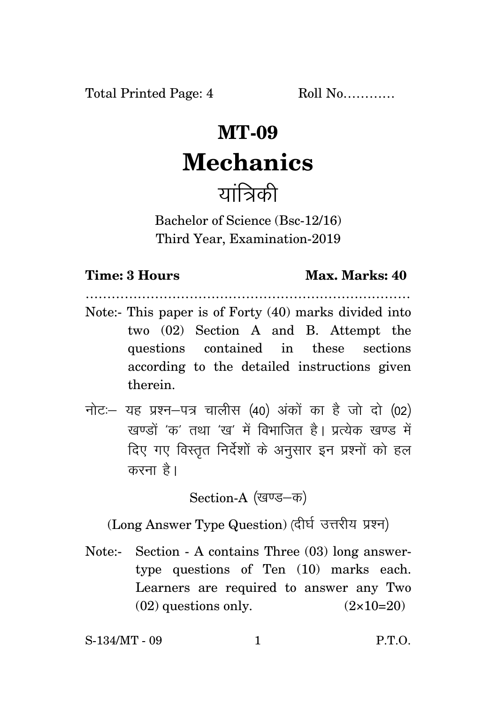# **MT-09 Mechanics**  यात्रिकी

Bachelor of Science (Bsc-12/16) Third Year, Examination-2019

## **Time: 3 Hours Max. Marks: 40**

- ………………………………………………………………… Note:- This paper is of Forty (40) marks divided into two (02) Section A and B. Attempt the questions contained in these sections according to the detailed instructions given therein.
- $\vec{\eta}$ नोट: यह प्रश्न-पत्र चालीस (40) अंकों का है जो दो (02) खण्डों 'क' तथा 'ख' में विभाजित है। प्रत्येक खण्ड में दिए गए विस्तृत निर्देशों के अनुसार इन प्रश्नों को हल करना है।

Section-A (खण्ड–क)

(Long Answer Type Question) (दीर्घ उत्तरीय प्रश्न)

Note:- Section - A contains Three (03) long answertype questions of Ten (10) marks each. Learners are required to answer any Two  $(02)$  questions only.  $(2 \times 10=20)$ 

S-134/MT - 09 1 P.T.O.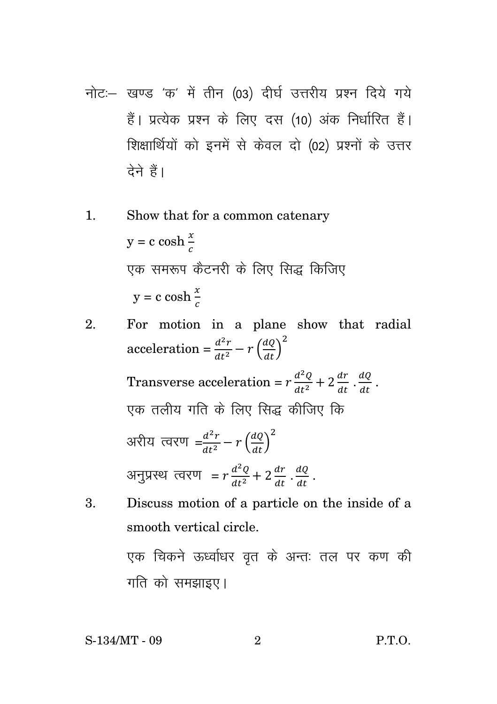- नोट :- खण्ड 'क' में तीन (03) दीर्घ उत्तरीय प्रश्न दिये गये हैं। प्रत्येक प्रश्न के लिए दस (10) अंक निर्धारित हैं। शिक्षार्थियों को इनमें से केवल दो (02) प्रश्नों के उत्तर देने हैं।
- $\mathbf{1}$ . Show that for a common catenary  $y = c \cosh \frac{x}{a}$ एक समरूप कैटनरी के लिए सिद्ध किजिए  $y = c \cosh \frac{x}{2}$
- For motion in a plane show that radial 2. acceleration =  $\frac{d^2r}{dt^2} - r \left(\frac{dQ}{dt}\right)^2$ Transverse acceleration =  $r \frac{d^2 Q}{dt^2} + 2 \frac{dr}{dt} \cdot \frac{dQ}{dt}$ . एक तलीय गति के लिए सिद्ध कीजिए कि अरीय त्वरण  $=\frac{d^2r}{dt^2}-r\left(\frac{dQ}{dt}\right)^2$ अनुप्रस्थ त्वरण =  $r \frac{d^2Q}{dt^2} + 2 \frac{dr}{dt} \cdot \frac{dQ}{dt}$ .
- Discuss motion of a particle on the inside of a 3. smooth vertical circle. एक चिकने ऊर्ध्वाधर वृत के अन्तः तल पर कण की गति को समझाइए।

S-134/MT - 09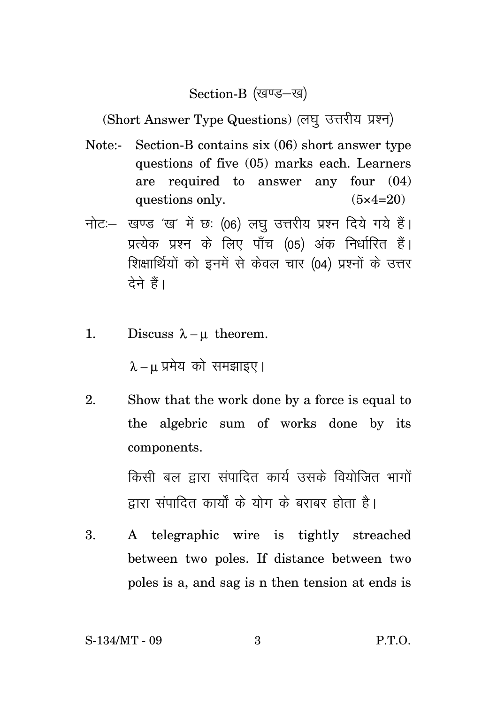#### Section-B (खण्ड-ख)

(Short Answer Type Questions) (लघु उत्तरीय प्रश्न)

- Note:- Section-B contains six (06) short answer type questions of five (05) marks each. Learners are required to answer any four (04) questions only.  $(5 \times 4=20)$
- नोट: खण्ड 'ख' में छ: (06) लघ उत्तरीय प्रश्न दिये गये हैं। प्रत्येक प्रश्न के लिए पाँच (05) अंक निर्धारित हैं। शिक्षार्थियों को इनमें से केवल चार (04) प्रश्नों के उत्तर देने हैं।
- 1. Discuss  $\lambda \mu$  theorem.

 $\lambda - \mu$  प्रमेय को समझाइए।

2. Show that the work done by a force is equal to the algebric sum of works done by its components.

> किसी बल द्वारा संपादित कार्य उसके वियोजित भागों हारा संपादित कार्यों के योग के बराबर होता है।

3. A telegraphic wire is tightly streached between two poles. If distance between two poles is a, and sag is n then tension at ends is

S-134/MT - 09 3 P.T.O.